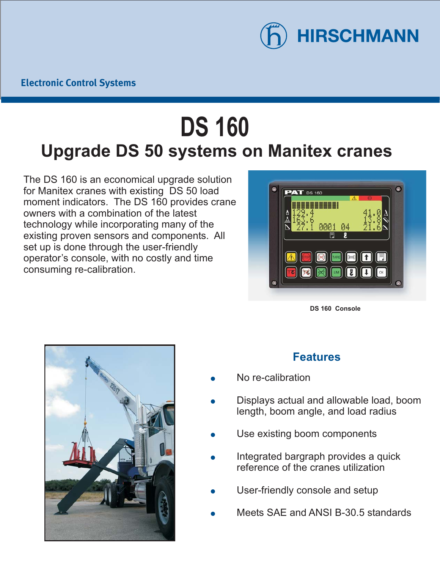

## **DS 160 Upgrade DS 50 systems on Manitex cranes**

The DS 160 is an economical upgrade solution for Manitex cranes with existing DS 50 load moment indicators. The DS 160 provides crane owners with a combination of the latest technology while incorporating many of the existing proven sensors and components. All set up is done through the user-friendly operator's console, with no costly and time consuming re-calibration.



**DS 160 Console**



## **Features**

- $\bullet$ No re-calibration
- $\bullet$ Displays actual and allowable load, boom length, boom angle, and load radius
- $\bullet$ Use existing boom components
- $\bullet$ Integrated bargraph provides a quick reference of the cranes utilization
- $\bullet$ User-friendly console and setup
- $\bullet$ Meets SAE and ANSI B-30.5 standards